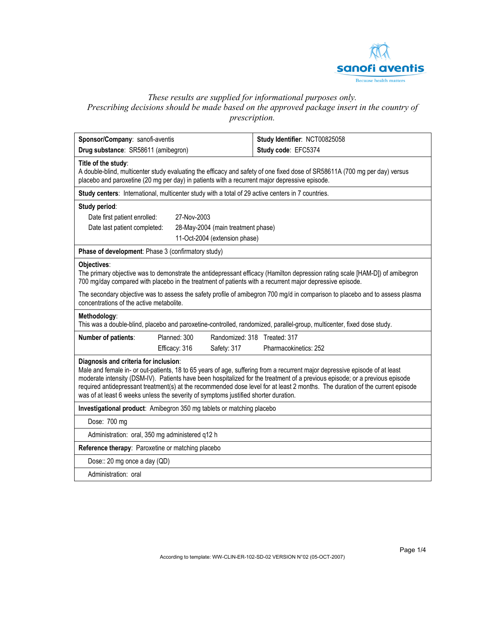

# *These results are supplied for informational purposes only. Prescribing decisions should be made based on the approved package insert in the country of prescription.*

| Sponsor/Company: sanofi-aventis                                                                                                                                                                                                                                                                                                                                                                                                                                                                                             |                                    | Study Identifier: NCT00825058 |  |  |  |
|-----------------------------------------------------------------------------------------------------------------------------------------------------------------------------------------------------------------------------------------------------------------------------------------------------------------------------------------------------------------------------------------------------------------------------------------------------------------------------------------------------------------------------|------------------------------------|-------------------------------|--|--|--|
| Drug substance: SR58611 (amibegron)                                                                                                                                                                                                                                                                                                                                                                                                                                                                                         |                                    | Study code: EFC5374           |  |  |  |
| Title of the study:<br>A double-blind, multicenter study evaluating the efficacy and safety of one fixed dose of SR58611A (700 mg per day) versus<br>placebo and paroxetine (20 mg per day) in patients with a recurrent major depressive episode.                                                                                                                                                                                                                                                                          |                                    |                               |  |  |  |
| Study centers: International, multicenter study with a total of 29 active centers in 7 countries.                                                                                                                                                                                                                                                                                                                                                                                                                           |                                    |                               |  |  |  |
| Study period:                                                                                                                                                                                                                                                                                                                                                                                                                                                                                                               |                                    |                               |  |  |  |
| Date first patient enrolled:                                                                                                                                                                                                                                                                                                                                                                                                                                                                                                | 27-Nov-2003                        |                               |  |  |  |
| Date last patient completed:                                                                                                                                                                                                                                                                                                                                                                                                                                                                                                | 28-May-2004 (main treatment phase) |                               |  |  |  |
| 11-Oct-2004 (extension phase)                                                                                                                                                                                                                                                                                                                                                                                                                                                                                               |                                    |                               |  |  |  |
| Phase of development: Phase 3 (confirmatory study)                                                                                                                                                                                                                                                                                                                                                                                                                                                                          |                                    |                               |  |  |  |
| Objectives:<br>The primary objective was to demonstrate the antidepressant efficacy (Hamilton depression rating scale [HAM-D]) of amibegron<br>700 mg/day compared with placebo in the treatment of patients with a recurrent major depressive episode.                                                                                                                                                                                                                                                                     |                                    |                               |  |  |  |
| The secondary objective was to assess the safety profile of amibegron 700 mg/d in comparison to placebo and to assess plasma<br>concentrations of the active metabolite.                                                                                                                                                                                                                                                                                                                                                    |                                    |                               |  |  |  |
| Methodology:<br>This was a double-blind, placebo and paroxetine-controlled, randomized, parallel-group, multicenter, fixed dose study.                                                                                                                                                                                                                                                                                                                                                                                      |                                    |                               |  |  |  |
| Number of patients:                                                                                                                                                                                                                                                                                                                                                                                                                                                                                                         | Planned: 300                       | Randomized: 318 Treated: 317  |  |  |  |
|                                                                                                                                                                                                                                                                                                                                                                                                                                                                                                                             | Efficacy: 316<br>Safety: 317       | Pharmacokinetics: 252         |  |  |  |
| Diagnosis and criteria for inclusion:<br>Male and female in- or out-patients, 18 to 65 years of age, suffering from a recurrent major depressive episode of at least<br>moderate intensity (DSM-IV). Patients have been hospitalized for the treatment of a previous episode; or a previous episode<br>required antidepressant treatment(s) at the recommended dose level for at least 2 months. The duration of the current episode<br>was of at least 6 weeks unless the severity of symptoms justified shorter duration. |                                    |                               |  |  |  |
| Investigational product: Amibegron 350 mg tablets or matching placebo                                                                                                                                                                                                                                                                                                                                                                                                                                                       |                                    |                               |  |  |  |
| Dose: 700 mg                                                                                                                                                                                                                                                                                                                                                                                                                                                                                                                |                                    |                               |  |  |  |
| Administration: oral, 350 mg administered q12 h                                                                                                                                                                                                                                                                                                                                                                                                                                                                             |                                    |                               |  |  |  |
| Reference therapy: Paroxetine or matching placebo                                                                                                                                                                                                                                                                                                                                                                                                                                                                           |                                    |                               |  |  |  |
| Dose:: 20 mg once a day (QD)                                                                                                                                                                                                                                                                                                                                                                                                                                                                                                |                                    |                               |  |  |  |
| Administration: oral                                                                                                                                                                                                                                                                                                                                                                                                                                                                                                        |                                    |                               |  |  |  |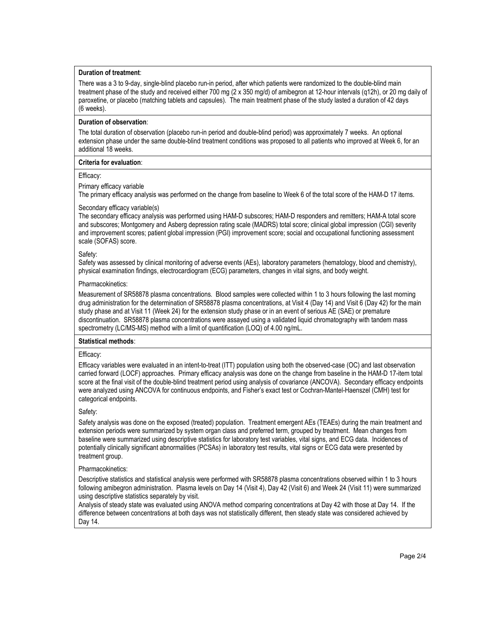# **Duration of treatment**:

There was a 3 to 9-day, single-blind placebo run-in period, after which patients were randomized to the double-blind main treatment phase of the study and received either 700 mg (2 x 350 mg/d) of amibegron at 12-hour intervals (q12h), or 20 mg daily of paroxetine, or placebo (matching tablets and capsules). The main treatment phase of the study lasted a duration of 42 days (6 weeks).

# **Duration of observation**:

The total duration of observation (placebo run-in period and double-blind period) was approximately 7 weeks. An optional extension phase under the same double-blind treatment conditions was proposed to all patients who improved at Week 6, for an additional 18 weeks.

# **Criteria for evaluation**:

# Efficacy:

Primary efficacy variable

The primary efficacy analysis was performed on the change from baseline to Week 6 of the total score of the HAM-D 17 items.

# Secondary efficacy variable(s)

The secondary efficacy analysis was performed using HAM-D subscores; HAM-D responders and remitters; HAM-A total score and subscores; Montgomery and Asberg depression rating scale (MADRS) total score; clinical global impression (CGI) severity and improvement scores; patient global impression (PGI) improvement score; social and occupational functioning assessment scale (SOFAS) score.

# Safety:

Safety was assessed by clinical monitoring of adverse events (AEs), laboratory parameters (hematology, blood and chemistry), physical examination findings, electrocardiogram (ECG) parameters, changes in vital signs, and body weight.

## Pharmacokinetics:

Measurement of SR58878 plasma concentrations. Blood samples were collected within 1 to 3 hours following the last morning drug administration for the determination of SR58878 plasma concentrations, at Visit 4 (Day 14) and Visit 6 (Day 42) for the main study phase and at Visit 11 (Week 24) for the extension study phase or in an event of serious AE (SAE) or premature discontinuation. SR58878 plasma concentrations were assayed using a validated liquid chromatography with tandem mass spectrometry (LC/MS-MS) method with a limit of quantification (LOQ) of 4.00 ng/mL.

#### **Statistical methods**:

#### Efficacy:

Efficacy variables were evaluated in an intent-to-treat (ITT) population using both the observed-case (OC) and last observation carried forward (LOCF) approaches. Primary efficacy analysis was done on the change from baseline in the HAM-D 17-item total score at the final visit of the double-blind treatment period using analysis of covariance (ANCOVA). Secondary efficacy endpoints were analyzed using ANCOVA for continuous endpoints, and Fisher's exact test or Cochran-Mantel-Haenszel (CMH) test for categorical endpoints.

# Safety:

Safety analysis was done on the exposed (treated) population. Treatment emergent AEs (TEAEs) during the main treatment and extension periods were summarized by system organ class and preferred term, grouped by treatment. Mean changes from baseline were summarized using descriptive statistics for laboratory test variables, vital signs, and ECG data. Incidences of potentially clinically significant abnormalities (PCSAs) in laboratory test results, vital signs or ECG data were presented by treatment group.

#### Pharmacokinetics:

Descriptive statistics and statistical analysis were performed with SR58878 plasma concentrations observed within 1 to 3 hours following amibegron administration. Plasma levels on Day 14 (Visit 4), Day 42 (Visit 6) and Week 24 (Visit 11) were summarized using descriptive statistics separately by visit.

Analysis of steady state was evaluated using ANOVA method comparing concentrations at Day 42 with those at Day 14. If the difference between concentrations at both days was not statistically different, then steady state was considered achieved by Day 14.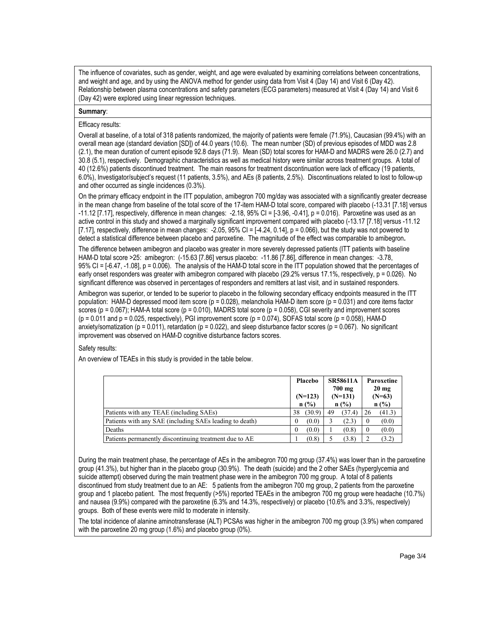The influence of covariates, such as gender, weight, and age were evaluated by examining correlations between concentrations, and weight and age, and by using the ANOVA method for gender using data from Visit 4 (Day 14) and Visit 6 (Day 42). Relationship between plasma concentrations and safety parameters (ECG parameters) measured at Visit 4 (Day 14) and Visit 6 (Day 42) were explored using linear regression techniques.

## **Summary**:

## Efficacy results:

Overall at baseline, of a total of 318 patients randomized, the majority of patients were female (71.9%), Caucasian (99.4%) with an overall mean age (standard deviation [SD]) of 44.0 years (10.6). The mean number (SD) of previous episodes of MDD was 2.8 (2.1), the mean duration of current episode 92.8 days (71.9). Mean (SD) total scores for HAM-D and MADRS were 26.0 (2.7) and 30.8 (5.1), respectively. Demographic characteristics as well as medical history were similar across treatment groups. A total of 40 (12.6%) patients discontinued treatment. The main reasons for treatment discontinuation were lack of efficacy (19 patients, 6.0%), Investigator/subject's request (11 patients, 3.5%), and AEs (8 patients, 2.5%). Discontinuations related to lost to follow-up and other occurred as single incidences (0.3%).

On the primary efficacy endpoint in the ITT population, amibegron 700 mg/day was associated with a significantly greater decrease in the mean change from baseline of the total score of the 17-item HAM-D total score, compared with placebo (-13.31 [7.18] versus -11.12 [7.17], respectively, difference in mean changes: -2.18, 95% CI = [-3.96, -0.41], p = 0.016). Paroxetine was used as an active control in this study and showed a marginally significant improvement compared with placebo (-13.17 [7.18] versus -11.12 [7.17], respectively, difference in mean changes:  $-2.05$ , 95% CI = [ $-4.24$ , 0.14], p = 0.066), but the study was not powered to detect a statistical difference between placebo and paroxetine. The magnitude of the effect was comparable to amibegron**.** 

The difference between amibegron and placebo was greater in more severely depressed patients (ITT patients with baseline HAM-D total score >25: amibegron: (-15.63 [7.86] versus placebo: -11.86 [7.86], difference in mean changes: -3.78, 95% CI = [-6.47, -1.08], p = 0.006). The analysis of the HAM-D total score in the ITT population showed that the percentages of early onset responders was greater with amibegron compared with placebo (29.2% versus 17.1%, respectively, p = 0.026). No significant difference was observed in percentages of responders and remitters at last visit, and in sustained responders.

Amibegron was superior, or tended to be superior to placebo in the following secondary efficacy endpoints measured in the ITT population: HAM-D depressed mood item score (p = 0.028), melancholia HAM-D item score (p = 0.031) and core items factor scores ( $p = 0.067$ ); HAM-A total score ( $p = 0.010$ ), MADRS total score ( $p = 0.058$ ), CGI severity and improvement scores  $(p = 0.011$  and  $p = 0.025$ , respectively), PGI improvement score  $(p = 0.074)$ , SOFAS total score  $(p = 0.058)$ , HAM-D anxiety/somatization ( $p = 0.011$ ), retardation ( $p = 0.022$ ), and sleep disturbance factor scores ( $p = 0.067$ ). No significant improvement was observed on HAM-D cognitive disturbance factors scores.

# Safety results:

An overview of TEAEs in this study is provided in the table below.

|                                                         |                   | <b>SR58611A</b><br>$700 \text{ mg}$<br>$(N=131)$<br>n(%) | Paroxetine<br>$20 \text{ mg}$<br>$(N=63)$<br>n(%) |
|---------------------------------------------------------|-------------------|----------------------------------------------------------|---------------------------------------------------|
| Patients with any TEAE (including SAEs)                 | (30.9)<br>38      | (37.4)<br>49                                             | (41.3)<br>26                                      |
| Patients with any SAE (including SAEs leading to death) | (0.0)<br>$\bf{0}$ | (2.3)                                                    | (0.0)<br>0                                        |
| Deaths                                                  | (0.0)<br>$\theta$ | (0.8)                                                    | (0.0)<br>$\theta$                                 |
| Patients permanently discontinuing treatment due to AE  | (0.8)             | (3.8)                                                    | (3.2)                                             |

During the main treatment phase, the percentage of AEs in the amibegron 700 mg group (37.4%) was lower than in the paroxetine group (41.3%), but higher than in the placebo group (30.9%). The death (suicide) and the 2 other SAEs (hyperglycemia and suicide attempt) observed during the main treatment phase were in the amibegron 700 mg group. A total of 8 patients discontinued from study treatment due to an AE: 5 patients from the amibegron 700 mg group, 2 patients from the paroxetine group and 1 placebo patient. The most frequently (>5%) reported TEAEs in the amibegron 700 mg group were headache (10.7%) and nausea (9.9%) compared with the paroxetine (6.3% and 14.3%, respectively) or placebo (10.6% and 3.3%, respectively) groups. Both of these events were mild to moderate in intensity.

The total incidence of alanine aminotransferase (ALT) PCSAs was higher in the amibegron 700 mg group (3.9%) when compared with the paroxetine 20 mg group (1.6%) and placebo group (0%).